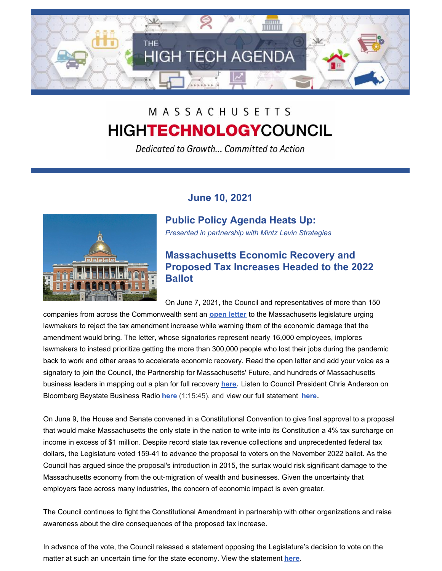

# MASSACHUSETTS **HIGHTECHNOLOGYCOUNCIL**

Dedicated to Growth... Committed to Action



# **June 10, 2021**

**Public Policy Agenda Heats Up:** *Presented in partnership with Mintz Levin Strategies*

# **Massachusetts Economic Recovery and Proposed Tax Increases Headed to the 2022 Ballot**

On June 7, 2021, the Council and representatives of more than 150 companies from across the Commonwealth sent an **open [letter](https://massrecovery.org/)** to the Massachusetts legislature urging lawmakers to reject the tax amendment increase while warning them of the economic damage that the amendment would bring. The letter, whose signatories represent nearly 16,000 employees, implores lawmakers to instead prioritize getting the more than 300,000 people who lost their jobs during the pandemic back to work and other areas to accelerate economic recovery. Read the open letter and add your voice as a signatory to join the Council, the Partnership for Massachusetts' Future, and hundreds of Massachusetts business leaders in mapping out a plan for full recovery **[here](https://massrecovery.org/)**. Listen to Council President Chris Anderson on Bloomberg Baystate Business Radio **[here](https://www.bloomberg.com/news/audio/2021-06-08/baystate-business-millionaires-tax-radio)** (1:15:45), and view our full statement **[here](http://www.mhtc.org/wp-content/uploads/2021/06/MassRecovery-PR_6.7.21.pdf)**.

On June 9, the House and Senate convened in a Constitutional Convention to give final approval to a proposal that would make Massachusetts the only state in the nation to write into its Constitution a 4% tax surcharge on income in excess of \$1 million. Despite record state tax revenue collections and unprecedented federal tax dollars, the Legislature voted 159-41 to advance the proposal to voters on the November 2022 ballot. As the Council has argued since the proposal's introduction in 2015, the surtax would risk significant damage to the Massachusetts economy from the out-migration of wealth and businesses. Given the uncertainty that employers face across many industries, the concern of economic impact is even greater.

The Council continues to fight the Constitutional Amendment in partnership with other organizations and raise awareness about the dire consequences of the proposed tax increase.

In advance of the vote, the Council released a statement opposing the Legislature's decision to vote on the matter at such an uncertain time for the state economy. View the statement **[here](https://files.constantcontact.com/5b333cf4701/5eca7006-109a-4030-b464-f6912623a1b0.pdf)**.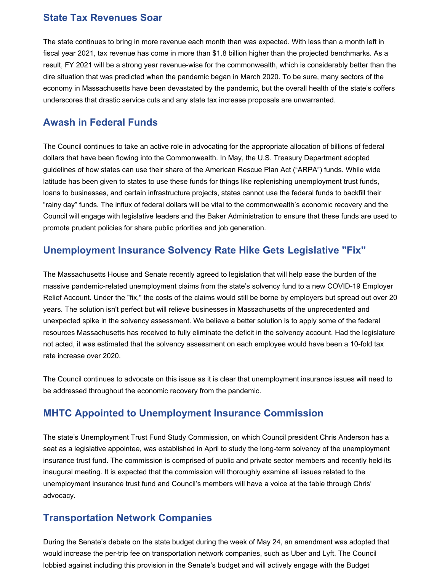## **State Tax Revenues Soar**

The state continues to bring in more revenue each month than was expected. With less than a month left in fiscal year 2021, tax revenue has come in more than \$1.8 billion higher than the projected benchmarks. As a result, FY 2021 will be a strong year revenue-wise for the commonwealth, which is considerably better than the dire situation that was predicted when the pandemic began in March 2020. To be sure, many sectors of the economy in Massachusetts have been devastated by the pandemic, but the overall health of the state's coffers underscores that drastic service cuts and any state tax increase proposals are unwarranted.

#### **Awash in Federal Funds**

The Council continues to take an active role in advocating for the appropriate allocation of billions of federal dollars that have been flowing into the Commonwealth. In May, the U.S. Treasury Department adopted guidelines of how states can use their share of the American Rescue Plan Act ("ARPA") funds. While wide latitude has been given to states to use these funds for things like replenishing unemployment trust funds, loans to businesses, and certain infrastructure projects, states cannot use the federal funds to backfill their "rainy day" funds. The influx of federal dollars will be vital to the commonwealth's economic recovery and the Council will engage with legislative leaders and the Baker Administration to ensure that these funds are used to promote prudent policies for share public priorities and job generation.

## **Unemployment Insurance Solvency Rate Hike Gets Legislative "Fix"**

The Massachusetts House and Senate recently agreed to legislation that will help ease the burden of the massive pandemic-related unemployment claims from the state's solvency fund to a new COVID-19 Employer Relief Account. Under the "fix," the costs of the claims would still be borne by employers but spread out over 20 years. The solution isn't perfect but will relieve businesses in Massachusetts of the unprecedented and unexpected spike in the solvency assessment. We believe a better solution is to apply some of the federal resources Massachusetts has received to fully eliminate the deficit in the solvency account. Had the legislature not acted, it was estimated that the solvency assessment on each employee would have been a 10-fold tax rate increase over 2020.

The Council continues to advocate on this issue as it is clear that unemployment insurance issues will need to be addressed throughout the economic recovery from the pandemic.

## **MHTC Appointed to Unemployment Insurance Commission**

The state's Unemployment Trust Fund Study Commission, on which Council president Chris Anderson has a seat as a legislative appointee, was established in April to study the long-term solvency of the unemployment insurance trust fund. The commission is comprised of public and private sector members and recently held its inaugural meeting. It is expected that the commission will thoroughly examine all issues related to the unemployment insurance trust fund and Council's members will have a voice at the table through Chris' advocacy.

## **Transportation Network Companies**

During the Senate's debate on the state budget during the week of May 24, an amendment was adopted that would increase the per-trip fee on transportation network companies, such as Uber and Lyft. The Council lobbied against including this provision in the Senate's budget and will actively engage with the Budget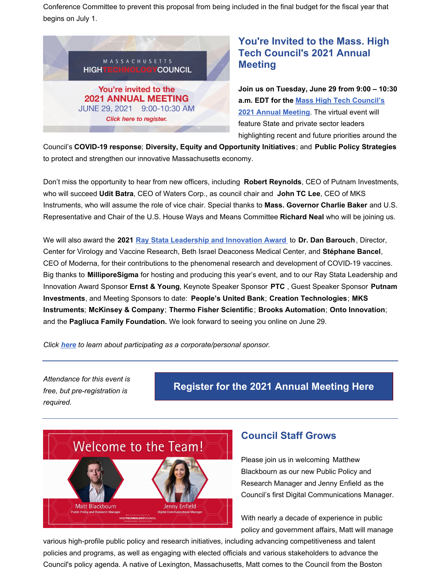Conference Committee to prevent this proposal from being included in the final budget for the fiscal year that begins on July 1.



# **You're Invited to the Mass. High Tech Council's 2021 Annual Meeting**

**Join us on Tuesday, June 29 from 9:00 – 10:30 a.m. EDT for the Mass High Tech [Council's](https://web.cvent.com/event/17aaa1f2-7f79-4ec5-b8fe-7199eac5aa7c/summary) 2021 Annual Meeting**. The virtual event will feature State and private sector leaders highlighting recent and future priorities around the

Council's **COVID-19 response**; **Diversity, Equity and Opportunity Initiatives**; and **Public Policy Strategies** to protect and strengthen our innovative Massachusetts economy.

Don't miss the opportunity to hear from new officers, including **Robert Reynolds**, CEO of Putnam Investments, who will succeed **Udit Batra**, CEO of Waters Corp., as council chair and **John TC Lee**, CEO of MKS Instruments, who will assume the role of vice chair. Special thanks to **Mass. Governor Charlie Baker** and U.S. Representative and Chair of the U.S. House Ways and Means Committee **Richard Neal** who will be joining us.

We will also award the **2021 Ray Stata [Leadership](http://www.mhtc.org/news-and-events/events/annual-meetings/bay-state-leadership-award/) and Innovation Award** to **Dr. Dan Barouch**, Director, Center for Virology and Vaccine Research, Beth Israel Deaconess Medical Center, and **Stéphane Bancel**, CEO of Moderna, for their contributions to the phenomenal research and development of COVID-19 vaccines. Big thanks to **MilliporeSigma** for hosting and producing this year's event, and to our Ray Stata Leadership and Innovation Award Sponsor **Ernst & Young**, Keynote Speaker Sponsor **PTC** , Guest Speaker Sponsor **Putnam Investments**, and Meeting Sponsors to date: **People's United Bank**; **Creation Technologies**; **MKS Instruments**; **McKinsey & Company**; **Thermo Fisher Scientific**; **Brooks Automation**; **Onto Innovation**; and the **Pagliuca Family Foundation.** We look forward to seeing you online on June 29.

*Click [here](https://files.constantcontact.com/5b333cf4701/788b11e7-d622-4a83-a928-fa8071cbb625.pdf) to learn about participating as a corporate/personal sponsor.*

*Attendance for this event is free, but pre-registration is required.*

# **[Register](https://web.cvent.com/event/17aaa1f2-7f79-4ec5-b8fe-7199eac5aa7c/regProcessStep1) for the 2021 Annual Meeting Here**



## **Council Staff Grows**

Please join us in welcoming Matthew [Blackbourn](https://www.linkedin.com/in/ACoAAAmU0mkBMU7VR9TtB2JjDHy-arlG6DRcOCY) as our new Public Policy and Research Manager and Jenny [Enfield](https://www.linkedin.com/in/ACoAABuvddYBdeVbpiiaLDn9DvM4MPhGEXugX-g) as the Council's first Digital Communications Manager.

With nearly a decade of experience in public policy and government affairs, Matt will manage

various high-profile public policy and research initiatives, including advancing competitiveness and talent policies and programs, as well as engaging with elected officials and various stakeholders to advance the Council's policy agenda. A native of Lexington, Massachusetts, Matt comes to the Council from the Boston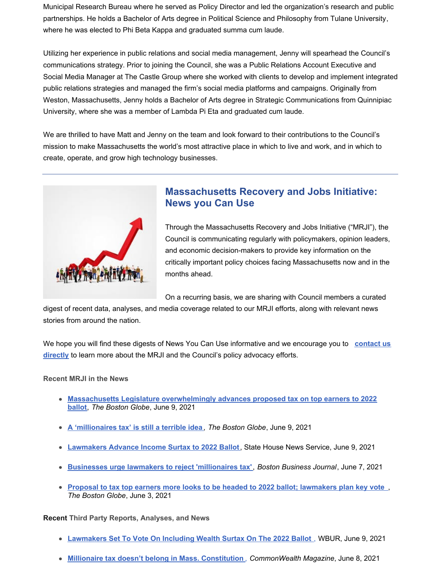Municipal Research Bureau where he served as Policy Director and led the organization's research and public partnerships. He holds a Bachelor of Arts degree in Political Science and Philosophy from Tulane [University](https://www.linkedin.com/company/tulane-university/), where he was elected to Phi Beta Kappa and graduated summa cum laude.

Utilizing her experience in public relations and social media management, Jenny will spearhead the Council's communications strategy. Prior to joining the Council, she was a Public Relations Account Executive and Social Media Manager at The Castle Group where she worked with clients to develop and implement integrated public relations strategies and managed the firm's social media platforms and campaigns. Originally from Weston, Massachusetts, Jenny holds a Bachelor of Arts degree in Strategic [Communications](https://www.linkedin.com/company/quinnipiac-university/) from Quinnipiac University, where she was a member of Lambda Pi Eta and graduated cum laude.

We are thrilled to have Matt and Jenny on the team and look forward to their contributions to the Council's mission to make Massachusetts the world's most attractive place in which to live and work, and in which to create, operate, and grow high technology businesses.



# **Massachusetts Recovery and Jobs Initiative: News you Can Use**

Through the Massachusetts Recovery and Jobs Initiative ("MRJI"), the Council is communicating regularly with policymakers, opinion leaders, and economic decision-makers to provide key information on the critically important policy choices facing Massachusetts now and in the months ahead.

On a recurring basis, we are sharing with Council members a curated

digest of recent data, analyses, and media coverage related to our MRJI efforts, along with relevant news stories from around the nation.

We hope you will find these digests of News You Can Use [informative](mailto:mark@mhtc.org) and we encourage you to **contact us directly** to learn more about the MRJI and the Council's policy advocacy efforts.

#### **Recent MRJI in the News**

- **Massachusetts Legislature [overwhelmingly](https://www.bostonglobe.com/2021/06/09/metro/massachusetts-legislature-cusp-advancing-millionaires-tax-2022-ballot/) advances proposed tax on top earners to 2022 ballot**, *The Boston Globe*, June 9, 2021
- **A ['millionaires](https://www.bostonglobe.com/2021/06/09/opinion/millionaires-surtax-is-still-terrible-idea/) tax' is still a terrible idea** , *The Boston Globe*, June 9, 2021
- **[Lawmakers](https://www.statehousenews.com/?path=cms%2fcontent.aspx&db=a&select=20211127) Advance Income Surtax to 2022 Ballot**, State House News Service, June 9, 2021
- **Businesses urge lawmakers to reject ['millionaires](https://www.bizjournals.com/boston/news/2021/06/07/businesses-urge-lawmakers-to-reject-millionaires.html) tax'**, *Boston Business Journal*, June 7, 2021
- **Proposal to tax top earners more looks to be headed to 2022 ballot; [lawmakers](https://www.bostonglobe.com/2021/06/03/metro/mass-lawmakers-expected-approve-millionaires-tax-proposal-next-week-allowing-it-go-2022-ballot/) plan key vote** , *The Boston Globe*, June 3, 2021

#### **Recent Third Party Reports, Analyses, and News**

- **[Lawmakers](https://www.wbur.org/news/2021/06/09/lawmakers-wealth-surtax-millionaires-ballot) Set To Vote On Including Wealth Surtax On The 2022 Ballot** , WBUR, June 9, 2021
- **Millionaire tax doesn't belong in Mass. [Constitution](https://commonwealthmagazine.org/opinion/millionaire-tax-doesnt-belong-in-mass-constitution/)** , *CommonWealth Magazine*, June 8, 2021